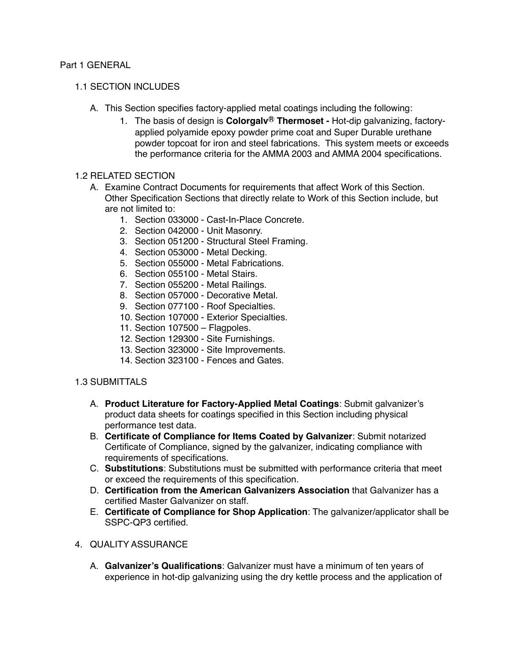### Part 1 GENERAL

### 1.1 SECTION INCLUDES

- A. This Section specifies factory-applied metal coatings including the following:
	- 1. The basis of design is **ColorgalvⓇ Thermoset** Hot-dip galvanizing, factoryapplied polyamide epoxy powder prime coat and Super Durable urethane powder topcoat for iron and steel fabrications. This system meets or exceeds the performance criteria for the AMMA 2003 and AMMA 2004 specifications.

### 1.2 RELATED SECTION

- A. Examine Contract Documents for requirements that affect Work of this Section. Other Specification Sections that directly relate to Work of this Section include, but are not limited to:
	- 1. Section 033000 Cast-In-Place Concrete.
	- 2. Section 042000 Unit Masonry.
	- 3. Section 051200 Structural Steel Framing.
	- 4. Section 053000 Metal Decking.
	- 5. Section 055000 Metal Fabrications.
	- 6. Section 055100 Metal Stairs.
	- 7. Section 055200 Metal Railings.
	- 8. Section 057000 Decorative Metal.
	- 9. Section 077100 Roof Specialties.
	- 10. Section 107000 Exterior Specialties.
	- 11. Section 107500 Flagpoles.
	- 12. Section 129300 Site Furnishings.
	- 13. Section 323000 Site Improvements.
	- 14. Section 323100 Fences and Gates.

### 1.3 SUBMITTALS

- A. **Product Literature for Factory-Applied Metal Coatings**: Submit galvanizer's product data sheets for coatings specified in this Section including physical performance test data.
- B. **Certificate of Compliance for Items Coated by Galvanizer**: Submit notarized Certificate of Compliance, signed by the galvanizer, indicating compliance with requirements of specifications.
- C. **Substitutions**: Substitutions must be submitted with performance criteria that meet or exceed the requirements of this specification.
- D. **Certification from the American Galvanizers Association** that Galvanizer has a certified Master Galvanizer on staff.
- E. **Certificate of Compliance for Shop Application**: The galvanizer/applicator shall be SSPC-QP3 certified.

### 4. QUALITY ASSURANCE

A. **Galvanizer's Qualifications**: Galvanizer must have a minimum of ten years of experience in hot-dip galvanizing using the dry kettle process and the application of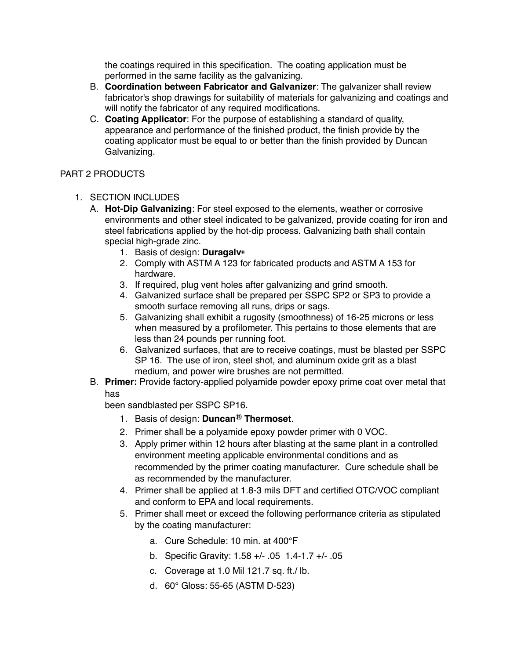the coatings required in this specification. The coating application must be performed in the same facility as the galvanizing.

- B. **Coordination between Fabricator and Galvanizer**: The galvanizer shall review fabricator's shop drawings for suitability of materials for galvanizing and coatings and will notify the fabricator of any required modifications.
- C. **Coating Applicator**: For the purpose of establishing a standard of quality, appearance and performance of the finished product, the finish provide by the coating applicator must be equal to or better than the finish provided by Duncan Galvanizing.

## PART 2 PRODUCTS

## 1. SECTION INCLUDES

- A. **Hot-Dip Galvanizing**: For steel exposed to the elements, weather or corrosive environments and other steel indicated to be galvanized, provide coating for iron and steel fabrications applied by the hot-dip process. Galvanizing bath shall contain special high-grade zinc.
	- 1. Basis of design: **DuragalvⓇ**
	- 2. Comply with ASTM A 123 for fabricated products and ASTM A 153 for hardware.
	- 3. If required, plug vent holes after galvanizing and grind smooth.
	- 4. Galvanized surface shall be prepared per SSPC SP2 or SP3 to provide a smooth surface removing all runs, drips or sags.
	- 5. Galvanizing shall exhibit a rugosity (smoothness) of 16-25 microns or less when measured by a profilometer. This pertains to those elements that are less than 24 pounds per running foot.
	- 6. Galvanized surfaces, that are to receive coatings, must be blasted per SSPC SP 16. The use of iron, steel shot, and aluminum oxide grit as a blast medium, and power wire brushes are not permitted.
- B. **Primer:** Provide factory-applied polyamide powder epoxy prime coat over metal that has

been sandblasted per SSPC SP16.

- 1. Basis of design: **DuncanⓇ Thermoset**.
- 2. Primer shall be a polyamide epoxy powder primer with 0 VOC.
- 3. Apply primer within 12 hours after blasting at the same plant in a controlled environment meeting applicable environmental conditions and as recommended by the primer coating manufacturer. Cure schedule shall be as recommended by the manufacturer.
- 4. Primer shall be applied at 1.8-3 mils DFT and certified OTC/VOC compliant and conform to EPA and local requirements.
- 5. Primer shall meet or exceed the following performance criteria as stipulated by the coating manufacturer:
	- a. Cure Schedule: 10 min. at 400°F
	- b. Specific Gravity: 1.58 +/- .05 1.4-1.7 +/- .05
	- c. Coverage at 1.0 Mil 121.7 sq. ft./ lb.
	- d. 60° Gloss: 55-65 (ASTM D-523)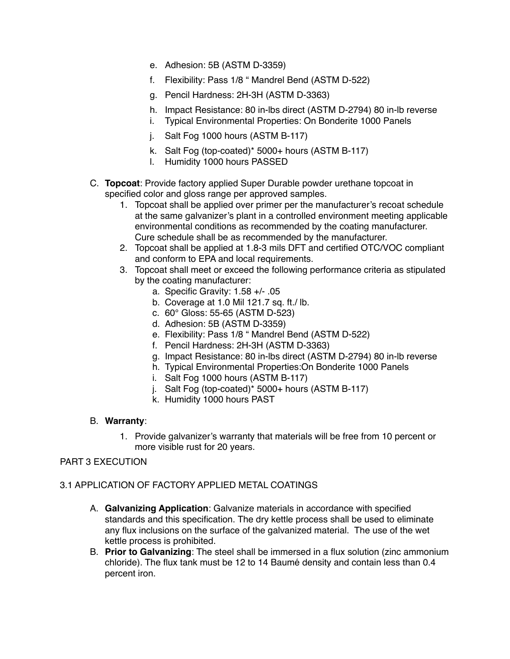- e. Adhesion: 5B (ASTM D-3359)
- f. Flexibility: Pass 1/8 " Mandrel Bend (ASTM D-522)
- g. Pencil Hardness: 2H-3H (ASTM D-3363)
- h. Impact Resistance: 80 in-lbs direct (ASTM D-2794) 80 in-lb reverse
- i. Typical Environmental Properties: On Bonderite 1000 Panels
- j. Salt Fog 1000 hours (ASTM B-117)
- k. Salt Fog (top-coated)\* 5000+ hours (ASTM B-117)
- l. Humidity 1000 hours PASSED
- C. **Topcoat**: Provide factory applied Super Durable powder urethane topcoat in specified color and gloss range per approved samples.
	- 1. Topcoat shall be applied over primer per the manufacturer's recoat schedule at the same galvanizer's plant in a controlled environment meeting applicable environmental conditions as recommended by the coating manufacturer. Cure schedule shall be as recommended by the manufacturer.
	- 2. Topcoat shall be applied at 1.8-3 mils DFT and certified OTC/VOC compliant and conform to EPA and local requirements.
	- 3. Topcoat shall meet or exceed the following performance criteria as stipulated by the coating manufacturer:
		- a. Specific Gravity: 1.58 +/- .05
		- b. Coverage at 1.0 Mil 121.7 sq. ft./ lb.
		- c. 60° Gloss: 55-65 (ASTM D-523)
		- d. Adhesion: 5B (ASTM D-3359)
		- e. Flexibility: Pass 1/8 " Mandrel Bend (ASTM D-522)
		- f. Pencil Hardness: 2H-3H (ASTM D-3363)
		- g. Impact Resistance: 80 in-lbs direct (ASTM D-2794) 80 in-lb reverse
		- h. Typical Environmental Properties:On Bonderite 1000 Panels
		- i. Salt Fog 1000 hours (ASTM B-117)
		- j. Salt Fog (top-coated)\* 5000+ hours (ASTM B-117)
		- k. Humidity 1000 hours PAST

### B. **Warranty**:

1. Provide galvanizer's warranty that materials will be free from 10 percent or more visible rust for 20 years.

### PART 3 EXECUTION

### 3.1 APPLICATION OF FACTORY APPLIED METAL COATINGS

- A. **Galvanizing Application**: Galvanize materials in accordance with specified standards and this specification. The dry kettle process shall be used to eliminate any flux inclusions on the surface of the galvanized material. The use of the wet kettle process is prohibited.
- B. **Prior to Galvanizing**: The steel shall be immersed in a flux solution (zinc ammonium chloride). The flux tank must be 12 to 14 Baumé density and contain less than 0.4 percent iron.